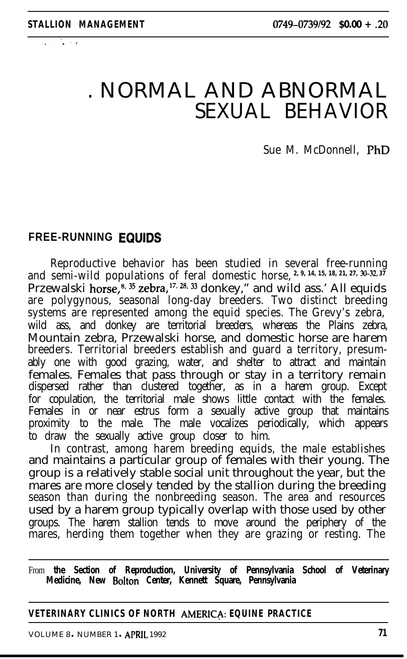$\sim$  .

# . NORMAL AND ABNORMAL SEXUAL BEHAVIOR

Sue M. McDonnell, PhD

## **FREE-RUNNING EQUIDS**

Reproductive behavior has been studied in several free-running and semi-wild populations of feral domestic horse, <sup>2, 9, 14, 15, 18, 21, 27, 30–32, 37</sup> Przewalski horse,<sup>8, 35</sup> zebra,<sup>17, 28, 33</sup> donkey," and wild ass.' All equids are polygynous, seasonal long-day breeders. Two distinct breeding systems are represented among the equid species. The Grevy's zebra, wild ass, and donkey are territorial breeders, whereas the Plains zebra, Mountain zebra, Przewalski horse, and domestic horse are harem breeders. Territorial breeders establish and guard a territory, presumably one with good grazing, water, and shelter to attract and maintain females. Females that pass through or stay in a territory remain dispersed rather than clustered together, as in a harem group. Except for copulation, the territorial male shows little contact with the females. Females in or near estrus form a sexually active group that maintains proximity to the male. The male vocalizes periodically, which appears to draw the sexually active group closer to him.

In contrast, among harem breeding equids, the male establishes and maintains a particular group of females with their young. The group is a relatively stable social unit throughout the year, but the mares are more closely tended by the stallion during the breeding season than during the nonbreeding season. The area and resources used by a harem group typically overlap with those used by other groups. The harem stallion tends to move around the periphery of the mares, herding them together when they are grazing or resting. The

From **the Section of Reproduction, University of Pennsylvania School of Veterinary Medicine, New Bolton Center, Kennett Square, Pennsylvania**

#### **VETERINARY CLINICS OF NORTH AMERIC& EQUINE PRACTICE**

VOLUME 8 . NUMBER 1 . APRIL 1992 **71**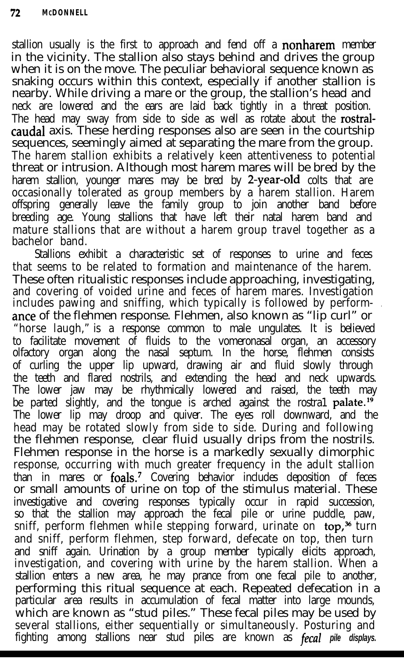stallion usually is the first to approach and fend off a **nonharem** member in the vicinity. The stallion also stays behind and drives the group when it is on the move. The peculiar behavioral sequence known as snaking occurs within this context, especially if another stallion is nearby. While driving a mare or the group, the stallion's head and neck are lowered and the ears are laid back tightly in a threat position. The head may sway from side to side as well as rotate about the rostralcaudal axis. These herding responses also are seen in the courtship sequences, seemingly aimed at separating the mare from the group. The harem stallion exhibits a relatively keen attentiveness to potential threat or intrusion. Although most harem mares will be bred by the harem stallion, younger mares may be bred by 2-year-old colts that are occasionally tolerated as group members by a harem stallion. Harem offspring generally leave the family group to join another band before breeding age. Young stallions that have left their natal harem band and mature stallions that are without a harem group travel together as a<br>bachelor band.

Stallions exhibit a characteristic set of responses to urine and feces that seems to be related to formation and maintenance of the harem. These often ritualistic responses include approaching, investigating, and covering of voided urine and feces of harem mares. Investigation includes pawing and sniffing, which typically is followed by performante of the flehmen response. Flehmen, also known as "lip curl" or "horse laugh," is a response common to male ungulates. It is believed to facilitate movement of fluids to the vomeronasal organ, an accessory olfactory organ along the nasal septum. In the horse, flehmen consists of curling the upper lip upward, drawing air and fluid slowly through the teeth and flared nostrils, and extending the head and neck upwards. The lower jaw may be rhythmically lowered and raised, the teeth may be parted slightly, and the tongue is arched against the rostra1 palate.<sup>19</sup> The lower lip may droop and quiver. The eyes roll downward, and the head may be rotated slowly from side to side. During and following the flehmen response, clear fluid usually drips from the nostrils. Flehmen response in the horse is a markedly sexually dimorphic response, occurring with much greater frequency in the adult stallion than in mares or foals.<sup>7</sup> Covering behavior includes deposition of feces or small amounts of urine on top of the stimulus material. These investigative and covering responses typically occur in rapid succession, so that the stallion may approach the fecal pile or urine puddle, paw, sniff, perform flehmen while stepping forward, urinate on top,<sup>36</sup> turn and sniff, perform flehmen, step forward, defecate on top, then turn and sniff again. Urination by a group member typically elicits approach, investigation, and covering with urine by the harem stallion. When a stallion enters a new area, he may prance from one fecal pile to another, performing this ritual sequence at each. Repeated defecation in a particular area results in accumulation of fecal matter into large mounds, which are known as "stud piles." These fecal piles may be used by several stallions, either sequentially or simultaneously. Posturing and fighting among stallions near stud piles are known as fecal *pile displays.*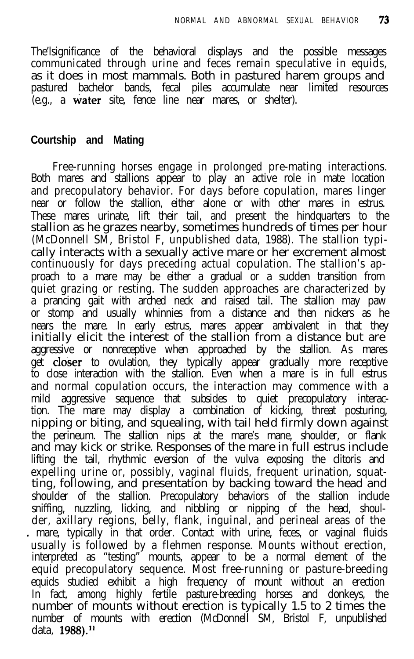The'lsignificance of the behavioral displays and the possible messages communicated through urine and feces remain speculative in equids, as it does in most mammals. Both in pastured harem groups and pastured bachelor bands, fecal piles accumulate near limited resources (e.g., a water site, fence line near mares, or shelter).

#### **Courtship and Mating**

Free-running horses engage in prolonged pre-mating interactions. Both mares and stallions appear to play an active role in mate location and precopulatory behavior. For days before copulation, mares linger near or follow the stallion, either alone or with other mares in estrus. These mares urinate, lift their tail, and present the hindquarters to the stallion as he grazes nearby, sometimes hundreds of times per hour (McDonnell SM, Bristol F, unpublished data, 1988). The stallion typically interacts with a sexually active mare or her excrement almost continuously for days preceding actual copulation. The stallion's approach to a mare may be either a gradual or a sudden transition from quiet grazing or resting. The sudden approaches are characterized by a prancing gait with arched neck and raised tail. The stallion may paw or stomp and usually whinnies from a distance and then nickers as he nears the mare. In early estrus, mares appear ambivalent in that they initially elicit the interest of the stallion from a distance but are aggressive or nonreceptive when approached by the stallion. As mares get **closer** to ovulation, they typically appear gradually more receptive to close interaction with the stallion. Even when a mare is in full estrus and normal copulation occurs, the interaction may commence with a mild aggressive sequence that subsides to quiet precopulatory interaction. The mare may display a combination of kicking, threat posturing, nipping or biting, and squealing, with tail held firmly down against the perineum. The stallion nips at the mare's mane, shoulder, or flank and may kick or strike. Responses of the mare in full estrus include lifting the tail, rhythmic eversion of the vulva exposing the clitoris and expelling urine or, possibly, vaginal fluids, frequent urination, squatting, following, and presentation by backing toward the head and shoulder of the stallion. Precopulatory behaviors of the stallion include sniffing, nuzzling, licking, and nibbling or nipping of the head, shoulder, axillary regions, belly, flank, inguinal, and perineal areas of the - mare, typically in that order. Contact with urine, feces, or vaginal fluids usually is followed by a flehmen response. Mounts without erection, interpreted as "testing" mounts, appear to be a normal element of the equid precopulatory sequence. Most free-running or pasture-breeding equids studied exhibit a high frequency of mount without an erection In fact, among highly fertile pasture-breeding horses and donkeys, the number of mounts without erection is typically 1.5 to 2 times the number of mounts with erection (McDonnell SM, Bristol F, unpublished data, 1988).<sup>11</sup>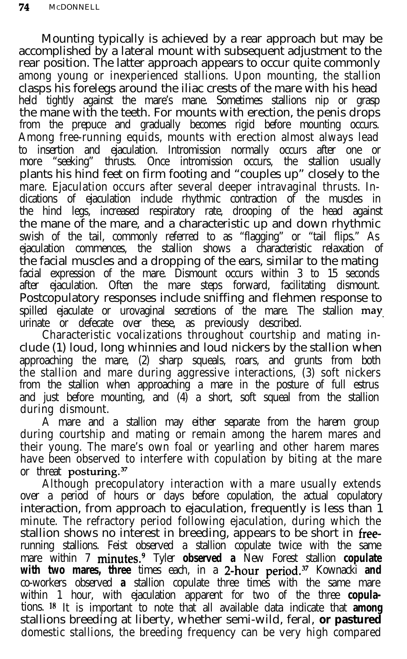Mounting typically is achieved by a rear approach but may be accomplished by a lateral mount with subsequent adjustment to the rear position. The latter approach appears to occur quite commonly among young or inexperienced stallions. Upon mounting, the stallion clasps his forelegs around the iliac crests of the mare with his head held tightly against the mare's mane. Sometimes stallions nip or grasp the mane with the teeth. For mounts with erection, the penis drops from the prepuce and gradually becomes rigid before mounting occurs. Among free-running equids, mounts with erection almost always lead to insertion and ejaculation. Intromission normally occurs after one or more "seeking" thrusts. Once intromission occurs, the stallion usually plants his hind feet on firm footing and "couples up" closely to the mare. Ejaculation occurs after several deeper intravaginal thrusts. Indications of ejaculation include rhythmic contraction of the muscles in the hind legs, increased respiratory rate, drooping of the head against the mane of the mare, and a characteristic up and down rhythmic swish of the tail, commonly referred to as "flagging" or "tail flips." As ejaculation commences, the stallion shows a characteristic relaxation of the facial muscles and a dropping of the ears, similar to the mating facial expression of the mare. Dismount occurs within 3 to 15 seconds after ejaculation. Often the mare steps forward, facilitating dismount. Postcopulatory responses include sniffing and flehmen response to spilled ejaculate or urovaginal secretions of the mare. The stallion may urinate or defecate over these, as previously described.

Characteristic vocalizations throughout courtship and mating include (1) loud, long whinnies and loud nickers by the stallion when approaching the mare, (2) sharp squeals, roars, and grunts from both the stallion and mare during aggressive interactions, (3) soft nickers from the stallion when approaching a mare in the posture of full estrus and just before mounting, and (4) a short, soft squeal from the stallion during dismount.

A mare and a stallion may either separate from the harem group during courtship and mating or remain among the harem mares and their young. The mare's own foal or yearling and other harem mares have been observed to interfere with copulation by biting at the mare or threat posturing.<sup>37</sup>

Although precopulatory interaction with a mare usually extends over a period of hours or days before copulation, the actual copulatory interaction, from approach to ejaculation, frequently is less than 1 minute. The refractory period following ejaculation, during which the stallion shows no interest in breeding, appears to be short in freerunning stallions. Feist observed a stallion copulate twice with the same mare within 7 minutes.9 Tyler **observed a** New Forest stallion **copulate** with two mares, three times each, in a 2-hour period.<sup>37</sup> Kownacki and co-workers observed **a** stallion copulate three times with the same mare within 1 hour, with ejaculation apparent for two of the three **copula**tions. I8 It is important to note that all available data indicate that **among** stallions breeding at liberty, whether semi-wild, feral, **or pastured** domestic stallions, the breeding frequency can be very high compared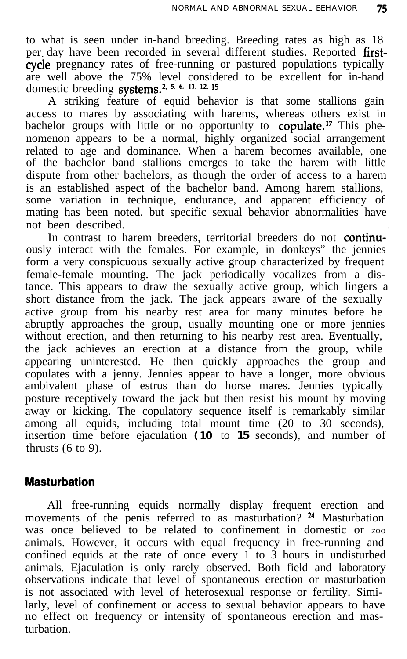to what is seen under in-hand breeding. Breeding rates as high as 18 per day have been recorded in several different studies. Reported firstcycle pregnancy rates of free-running or pastured populations typically are well above the 75% level considered to be excellent for in-hand domestic breeding systems.<sup>2, 5, 6, 11, 12, 15</sup>

A striking feature of equid behavior is that some stallions gain access to mares by associating with harems, whereas others exist in bachelor groups with little or no opportunity to copulate.<sup>17</sup> This phenomenon appears to be a normal, highly organized social arrangement related to age and dominance. When a harem becomes available, one of the bachelor band stallions emerges to take the harem with little ' dispute from other bachelors, as though the order of access to a harem is an established aspect of the bachelor band. Among harem stallions, some variation in technique, endurance, and apparent efficiency of mating has been noted, but specific sexual behavior abnormalities have not been described. .

In contrast to harem breeders, territorial breeders do not continuously interact with the females. For example, in donkeys" the jennies form a very conspicuous sexually active group characterized by frequent female-female mounting. The jack periodically vocalizes from a distance. This appears to draw the sexually active group, which lingers a short distance from the jack. The jack appears aware of the sexually active group from his nearby rest area for many minutes before he abruptly approaches the group, usually mounting one or more jennies without erection, and then returning to his nearby rest area. Eventually, the jack achieves an erection at a distance from the group, while appearing uninterested. He then quickly approaches the group and copulates with a jenny. Jennies appear to have a longer, more obvious ambivalent phase of estrus than do horse mares. Jennies typically posture receptively toward the jack but then resist his mount by moving away or kicking. The copulatory sequence itself is remarkably similar among all equids, including total mount time (20 to 30 seconds), insertion time before ejaculation **(10** to **15** seconds), and number of thrusts  $(6 to 9)$ .

## **Masturbation**

All free-running equids normally display frequent erection and movements of the penis referred to as masturbation? <sup>24</sup> Masturbation was once believed to be related to confinement in domestic or  $z_{00}$ animals. However, it occurs with equal frequency in free-running and confined equids at the rate of once every  $1$  to 3 hours in undisturbed animals. Ejaculation is only rarely observed. Both field and laboratory observations indicate that level of spontaneous erection or masturbation is not associated with level of heterosexual response or fertility. Similarly, level of confinement or access to sexual behavior appears to have no effect on frequency or intensity of spontaneous erection and masturbation.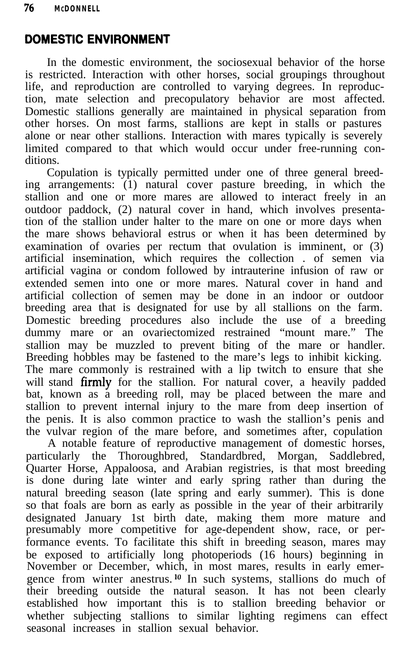# **DOMESTIC ENVIRONMENT**

In the domestic environment, the sociosexual behavior of the horse is restricted. Interaction with other horses, social groupings throughout life, and reproduction are controlled to varying degrees. In reproduction, mate selection and precopulatory behavior are most affected. Domestic stallions generally are maintained in physical separation from other horses. On most farms, stallions are kept in stalls or pastures alone or near other stallions. Interaction with mares typically is severely limited compared to that which would occur under free-running conditions.

Copulation is typically permitted under one of three general breeding arrangements: (1) natural cover pasture breeding, in which the stallion and one or more mares are allowed to interact freely in an outdoor paddock, (2) natural cover in hand, which involves presentation of the stallion under halter to the mare on one or more days when the mare shows behavioral estrus or when it has been determined by examination of ovaries per rectum that ovulation is imminent, or (3) artificial insemination, which requires the collection . of semen via artificial vagina or condom followed by intrauterine infusion of raw or extended semen into one or more mares. Natural cover in hand and artificial collection of semen may be done in an indoor or outdoor breeding area that is designated for use by all stallions on the farm. Domestic breeding procedures also include the use of a breeding dummy mare or an ovariectomized restrained "mount mare." The stallion may be muzzled to prevent biting of the mare or handler. Breeding hobbles may be fastened to the mare's legs to inhibit kicking. The mare commonly is restrained with a lip twitch to ensure that she will stand firmly for the stallion. For natural cover, a heavily padded bat, known as a breeding roll, may be placed between the mare and stallion to prevent internal injury to the mare from deep insertion of the penis. It is also common practice to wash the stallion's penis and the vulvar region of the mare before, and sometimes after, copulation

A notable feature of reproductive management of domestic horses, particularly the Thoroughbred, Standardbred, Morgan, Saddlebred, Quarter Horse, Appaloosa, and Arabian registries, is that most breeding is done during late winter and early spring rather than during the natural breeding season (late spring and early summer). This is done so that foals are born as early as possible in the year of their arbitrarily designated January 1st birth date, making them more mature and presumably more competitive for age-dependent show, race, or performance events. To facilitate this shift in breeding season, mares may be exposed to artificially long photoperiods (16 hours) beginning in November or December, which, in most mares, results in early emergence from winter anestrus.<sup>10</sup> In such systems, stallions do much of their breeding outside the natural season. It has not been clearly established how important this is to stallion breeding behavior or whether subjecting stallions to similar lighting regimens can effect seasonal increases in stallion sexual behavior.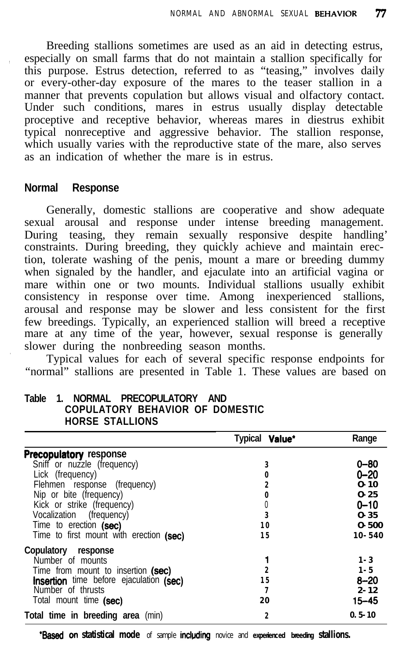Breeding stallions sometimes are used as an aid in detecting estrus, , especially on small farms that do not maintain a stallion specifically for this purpose. Estrus detection, referred to as "teasing," involves daily or every-other-day exposure of the mares to the teaser stallion in a manner that prevents copulation but allows visual and olfactory contact. Under such conditions, mares in estrus usually display detectable proceptive and receptive behavior, whereas mares in diestrus exhibit typical nonreceptive and aggressive behavior. The stallion response, which usually varies with the reproductive state of the mare, also serves as an indication of whether the mare is in estrus.

#### **Normal Response**

Generally, domestic stallions are cooperative and show adequate sexual arousal and response under intense breeding management. During teasing, they remain sexually responsive despite handling' constraints. During breeding, they quickly achieve and maintain erection, tolerate washing of the penis, mount a mare or breeding dummy when signaled by the handler, and ejaculate into an artificial vagina or mare within one or two mounts. Individual stallions usually exhibit consistency in response over time. Among inexperienced stallions, arousal and response may be slower and less consistent for the first few breedings. Typically, an experienced stallion will breed a receptive mare at any time of the year, however, sexual response is generally . slower during the nonbreeding season months.

Typical values for each of several specific response endpoints for "normal" stallions are presented in Table 1. These values are based on

|                                         | Typical Value* | Range      |
|-----------------------------------------|----------------|------------|
| <b>Precopulatory response</b>           |                |            |
| Sniff or nuzzle (frequency)             | 3              | 0–80       |
| Lick (frequency)                        | 0              | 0–20       |
| Flehmen response (frequency)            | 2              | $0 - 10$   |
| Nip or bite (frequency)                 | 0              | $0 - 25$   |
| Kick or strike (frequency)              | 0              | $0 - 10$   |
| Vocalization (frequency)                | 3              | $0 - 35$   |
| Time to erection (sec)                  | 10             | $0 - 500$  |
| Time to first mount with erection (sec) | 15             | $10 - 540$ |
| Copulatory response                     |                |            |
| Number of mounts                        |                | $1 - 3$    |
| Time from mount to insertion (sec)      | 2              | $1 - 5$    |
| Insertion time before ejaculation (sec) | 15             | $8 - 20$   |
| Number of thrusts                       | 7              | $2 - 12$   |
| Total mount time (sec)                  | 20             | $15 - 45$  |
| Total time in breeding area (min)       | 2              | $0.5 - 10$ |

#### **Table 1. NORMAL PRECOPULATORY AND COPULATORY BEHAVIOR OF DOMESTIC HORSE STALLIONS**

**'Based** on statistical mode of sample including novice and experienced breeding stallions.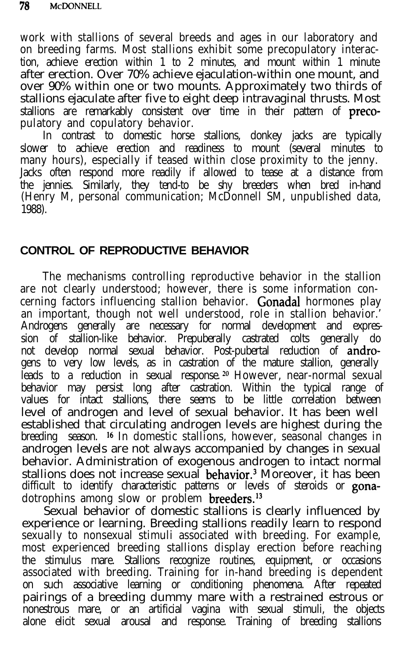work with stallions of several breeds and ages in our laboratory and on breeding farms. Most stallions exhibit some precopulatory interaction, achieve erection within 1 to 2 minutes, and mount within 1 minute after erection. Over 70% achieve ejaculation-within one mount, and over 90% within one or two mounts. Approximately two thirds of stallions ejaculate after five to eight deep intravaginal thrusts. Most stallions are remarkably consistent over time in their pattern of **preco**pulatory and copulatory behavior.

In contrast to domestic horse stallions, donkey jacks are typically slower to achieve erection and readiness to mount (several minutes to many hours), especially if teased within close proximity to the jenny. Jacks often respond more readily if allowed to tease at a distance from the jennies. Similarly, they tend-to be shy breeders when bred in-hand (Henry M, personal communication; McDonnell SM, unpublished data, 1988).

## **CONTROL OF REPRODUCTIVE BEHAVIOR**

The mechanisms controlling reproductive behavior in the stallion are not clearly understood; however, there is some information concerning factors influencing stallion behavior. Gonadal hormones play an important, though not well understood, role in stallion behavior.' Androgens generally are necessary for normal development and expression of stallion-like behavior. Prepuberally castrated colts generally do not develop normal sexual behavior. Post-pubertal reduction of androgens to very low levels, as in castration of the mature stallion, generally leads to a reduction in sexual response.<sup>20</sup> However, near-normal sexual behavior may persist long after castration. Within the typical range of values for intact stallions, there seems to be little correlation between level of androgen and level of sexual behavior. It has been well established that circulating androgen levels are highest during the breeding season. <sup>16</sup> In domestic stallions, however, seasonal changes in androgen levels are not always accompanied by changes in sexual behavior. Administration of exogenous androgen to intact normal stallions does not increase sexual behavior.<sup>3</sup> Moreover, it has been difficult to identify characteristic patterns or levels of steroids or gonadotrophins among slow or problem breeders.<sup>13</sup>

Sexual behavior of domestic stallions is clearly influenced by experience or learning. Breeding stallions readily learn to respond sexually to nonsexual stimuli associated with breeding. For example, most experienced breeding stallions display erection before reaching the stimulus mare. Stallions recognize routines, equipment, or occasions associated with breeding. Training for in-hand breeding is dependent on such associative learning or conditioning phenomena. After repeated pairings of a breeding dummy mare with a restrained estrous or nonestrous mare, or an artificial vagina with sexual stimuli, the objects alone elicit sexual arousal and response. Training of breeding stallions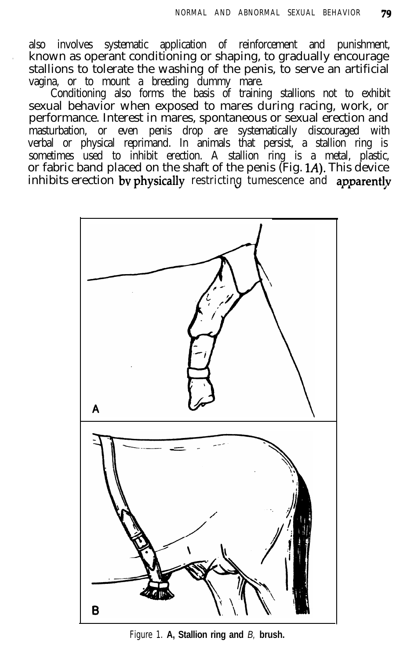also involves systematic application of reinforcement and punishment, . known as operant conditioning or shaping, to gradually encourage stallions to tolerate the washing of the penis, to serve an artificial vagina, or to mount a breeding dummy mare.

Conditioning also forms the basis of training stallions not to exhibit sexual behavior when exposed to mares during racing, work, or performance. Interest in mares, spontaneous or sexual erection and masturbation, or even penis drop are systematically discouraged with verbal or physical reprimand. In animals that persist, a stallion ring is sometimes used to inhibit erection. A stallion ring is a metal, plastic, or fabric band placed on the shaft of the penis (Fig. 1A). This device inhibits erection by physically restricting tumescence and apparently



Figure 1. **A, Stallion ring and** *B,* **brush.**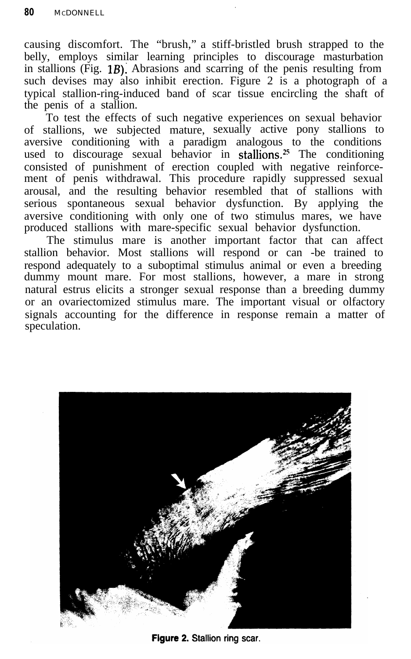causing discomfort. The "brush," a stiff-bristled brush strapped to the belly, employs similar learning principles to discourage masturbation in stallions (Fig. **1B):** Abrasions and scarring of the penis resulting from such devises may also inhibit erection. Figure 2 is a photograph of a typical stallion-ring-induced band of scar tissue encircling the shaft of the penis of a stallion.

.

To test the effects of such negative experiences on sexual behavior of stallions, we subjected mature, sexually active pony stallions to aversive conditioning with a paradigm analogous to the conditions used to discourage sexual behavior in stallions.<sup>25</sup> The conditioning consisted of punishment of erection coupled with negative reinforcement of penis withdrawal. This procedure rapidly suppressed sexual arousal, and the resulting behavior resembled that of stallions with serious spontaneous sexual behavior dysfunction. By applying the aversive conditioning with only one of two stimulus mares, we have produced stallions with mare-specific sexual behavior dysfunction.

The stimulus mare is another important factor that can affect stallion behavior. Most stallions will respond or can -be trained to respond adequately to a suboptimal stimulus animal or even a breeding dummy mount mare. For most stallions, however, a mare in strong natural estrus elicits a stronger sexual response than a breeding dummy or an ovariectomized stimulus mare. The important visual or olfactory signals accounting for the difference in response remain a matter of speculation.



Figure 2. Stallion ring scar.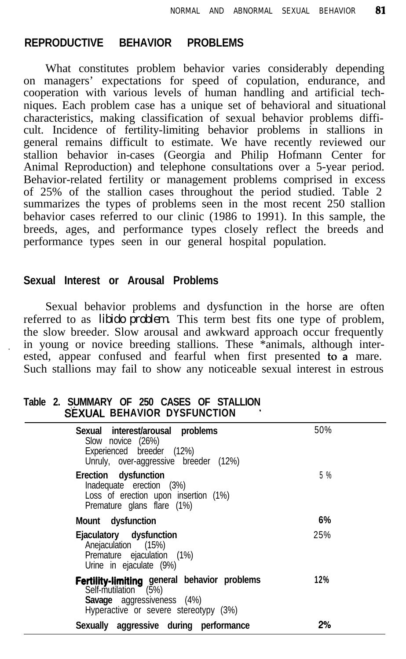#### **REPRODUCTIVE BEHAVIOR PROBLEMS**

What constitutes problem behavior varies considerably depending on managers' expectations for speed of copulation, endurance, and cooperation with various levels of human handling and artificial techniques. Each problem case has a unique set of behavioral and situational characteristics, making classification of sexual behavior problems difficult. Incidence of fertility-limiting behavior problems in stallions in general remains difficult to estimate. We have recently reviewed our stallion behavior in-cases (Georgia and Philip Hofmann Center for Animal Reproduction) and telephone consultations over a 5-year period. Behavior-related fertility or management problems comprised in excess of 25% of the stallion cases throughout the period studied. Table 2 summarizes the types of problems seen in the most recent 250 stallion behavior cases referred to our clinic (1986 to 1991). In this sample, the breeds, ages, and performance types closely reflect the breeds and performance types seen in our general hospital population.

#### **Sexual Interest or Arousal Problems**

Sexual behavior problems and dysfunction in the horse are often referred to as *libido problem.* This term best fits one type of problem, the slow breeder. Slow arousal and awkward approach occur frequently in young or novice breeding stallions. These \*animals, although interested, appear confused and fearful when first presented to  $\overline{a}$  mare. Such stallions may fail to show any noticeable sexual interest in estrous

#### **Table 2. SUMMARY OF 250 CASES OF STALLION SEXUAL BEHAVIOR DYSFUNCTION '**

| Sexual interest/arousal problems<br>Slow novice (26%)<br>Experienced breeder (12%)<br>Unruly, over-aggressive breeder (12%)                        | 50% |
|----------------------------------------------------------------------------------------------------------------------------------------------------|-----|
| Erection dysfunction<br>Inadequate erection (3%)<br>Loss of erection upon insertion (1%)<br>Premature glans flare (1%)                             | 5 % |
| Mount dysfunction                                                                                                                                  | 6%  |
| Ejaculatory dysfunction<br>Anejaculation (15%)<br>Premature ejaculation (1%)<br>Urine in ejaculate (9%)                                            | 25% |
| Fertility-limiting general behavior problems<br>Self-mutilation (5%)<br><b>Savage</b> aggressiveness (4%)<br>Hyperactive or severe stereotypy (3%) | 12% |
| Sexually aggressive during performance                                                                                                             | 2%  |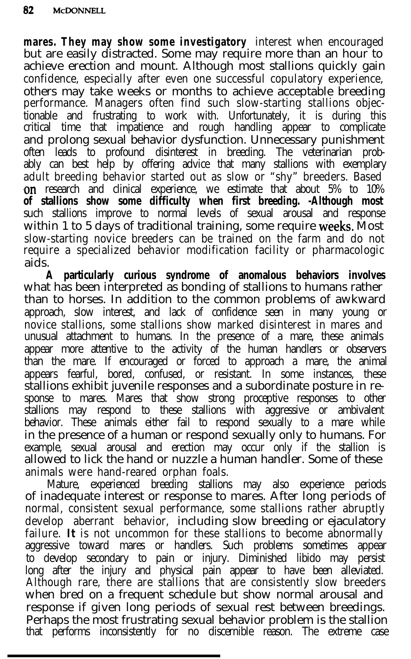**mares. They may show some investigatory** interest when encouraged but are easily distracted. Some may require more than an hour to achieve erection and mount. Although most stallions quickly gain confidence, especially after even one successful copulatory experience, others may take weeks or months to achieve acceptable breeding performance. Managers often find such slow-starting stallions objectionable and frustrating to work with. Unfortunately, it is during this critical time that impatience and rough handling appear to complicate and prolong sexual behavior dysfunction. Unnecessary punishment often leads to profound disinterest in breeding. The veterinarian probably can best help by offering advice that many stallions with exemplary adult breeding behavior started out as slow or "shy" breeders. Based **on** research and clinical experience, we estimate that about 5% to 10% **of stallions show some difficulty when first breeding. -Although most** such stallions improve to normal levels of sexual arousal and response within 1 to 5 days of traditional training, some require weeks. Most slow-starting novice breeders can be trained on the farm and do not require a specialized behavior modification facility or pharmacologic aids.

**A particularly curious syndrome of anomalous behaviors involves** what has been interpreted as bonding of stallions to humans rather than to horses. In addition to the common problems of awkward approach, slow interest, and lack of confidence seen in many young or novice stallions, some stallions show marked disinterest in mares and unusual attachment to humans. In the presence of a mare, these animals appear more attentive to the activity of the human handlers or observers than the mare. If encouraged or forced to approach a mare, the animal appears fearful, bored, confused, or resistant. In some instances, these stallions exhibit juvenile responses and a subordinate posture in response to mares. Mares that show strong proceptive responses to other stallions may respond to these stallions with aggressive or ambivalent behavior. These animals either fail to respond sexually to a mare while in the presence of a human or respond sexually only to humans. For example, sexual arousal and erection may occur only if the stallion is allowed to lick the hand or nuzzle a human handler. Some of these animals were hand-reared orphan foals.

Mature, experienced breeding stallions may also experience periods of inadequate interest or response to mares. After long periods of normal, consistent sexual performance, some stallions rather abruptly develop aberrant behavior, including slow breeding or ejaculatory failure. **It** is not uncommon for these stallions to become abnormally aggressive toward mares or handlers. Such problems sometimes appear to develop secondary to pain or injury. Diminished libido may persist long after the injury and physical pain appear to have been alleviated. Although rare, there are stallions that are consistently slow breeders when bred on a frequent schedule but show normal arousal and response if given long periods of sexual rest between breedings. Perhaps the most frustrating sexual behavior problem is the stallion that performs inconsistently for no discernible reason. The extreme case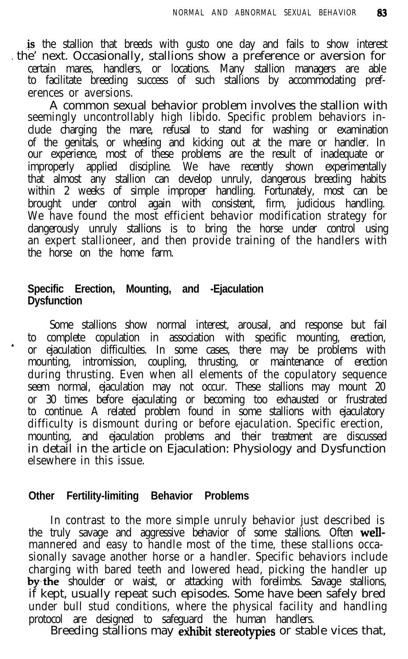.is the stallion that breeds with gusto one day and fails to show interest the' next. Occasionally, stallions show a preference or aversion for certain mares, handlers, or locations. Many stallion managers are able to facilitate breeding success of such stallions by accommodating preferences or aversions.

A common sexual behavior problem involves the stallion with seemingly uncontrollably high libido. Specific problem behaviors include charging the mare, refusal to stand for washing or examination of the genitals, or wheeling and kicking out at the mare or handler. In our experience, most of these problems are the result of inadequate or improperly applied discipline. We have recently shown experimentally that almost any stallion can develop unruly, dangerous breeding habits within 2 weeks of simple improper handling. Fortunately, most can be brought under control again with consistent, firm, judicious handling. We have found the most efficient behavior modification strategy for dangerously unruly stallions is to bring the horse under control using an expert stallioneer, and then provide training of the handlers with the horse on the home farm.

#### **Specific Erection, Mounting, and -Ejaculation Dysfunction**

Some stallions show normal interest, arousal, and response but fail to complete copulation in association with specific mounting, erection, or ejaculation difficulties. In some cases, there may be problems with mounting, intromission, coupling, thrusting, or maintenance of erection during thrusting. Even when all elements of the copulatory sequence seem normal, ejaculation may not occur. These stallions may mount 20 or 30 times before ejaculating or becoming too exhausted or frustrated to continue. A related problem found in some stallions with ejaculatory difficulty is dismount during or before ejaculation. Specific erection, mounting, and ejaculation problems and their treatment are discussed in detail in the article on Ejaculation: Physiology and Dysfunction elsewhere in this issue.

#### **Other Fertility-limiting Behavior Problems**

In contrast to the more simple unruly behavior just described is the truly savage and aggressive behavior of some stallions. Often wellmannered and easy to handle most of the time, these stallions occasionally savage another horse or a handler. Specific behaviors include charging with bared teeth and lowered head, picking the handler up by the shoulder or waist, or attacking with forelimbs. Savage stallions, if kept, usually repeat such episodes. Some have been safely bred under bull stud conditions, where the physical facility and handling protocol are designed to safeguard the human handlers.

Breeding stallions may exhibit stereotypies or stable vices that,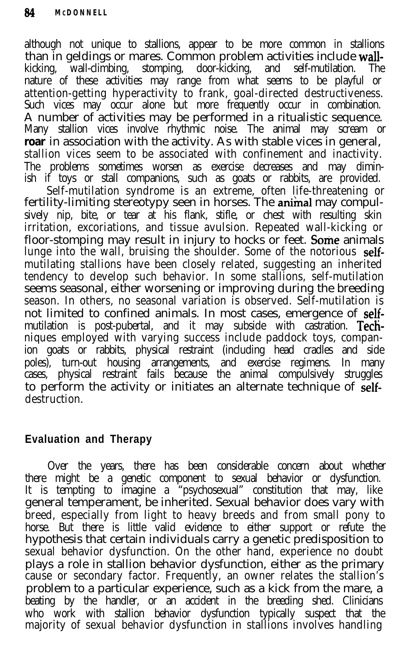although not unique to stallions, appear to be more common in stallions than in geldings or mares. Common problem activities include wallkicking, wall-climbing, stomping, door-kicking, and self-mutilation. The nature of these activities may range from what seems to be playful or attention-getting hyperactivity to frank, goal-directed destructiveness. Such vices may occur alone but more frequently occur in combination. A number of activities may be performed in a ritualistic sequence. Many stallion vices involve rhythmic noise. The animal may scream or **roar** in association with the activity. As with stable vices in general, stallion vices seem to be associated with confinement and inactivity. The problems sometimes worsen as exercise decreases and may diminish if toys or stall companions, such as goats or rabbits, are provided.

Self-mutilation syndrome is an extreme, often life-threatening or fertility-limiting stereotypy seen in horses. The animal may compulsively nip, bite, or tear at his flank, stifle, or chest with resulting skin irritation, excoriations, and tissue avulsion. Repeated wall-kicking or floor-stomping may result in injury to hocks or feet. Some animals lunge into the wall, bruising the shoulder. Some of the notorious selfmutilating stallions have been closely related, suggesting an inherited tendency to develop such behavior. In some stallions, self-mutilation seems seasonal, either worsening or improving during the breeding season. In others, no seasonal variation is observed. Self-mutilation is not limited to confined animals. In most cases, emergence of selfmutilation is post-pubertal, and it may subside with castration. Techniques employed with varying success include paddock toys, companion goats or rabbits, physical restraint (including head cradles and side poles), turn-out housing arrangements, and exercise regimens. In many cases, physical restraint fails because the animal compulsively struggles to perform the activity or initiates an alternate technique of selfdestruction.

# **Evaluation and Therapy**

Over the years, there has been considerable concern about whether there might be a genetic component to sexual behavior or dysfunction. It is tempting to imagine a "psychosexual" constitution that may, like general temperament, be inherited. Sexual behavior does vary with breed, especially from light to heavy breeds and from small pony to horse. But there is little valid evidence to either support or refute the hypothesis that certain individuals carry a genetic predisposition to sexual behavior dysfunction. On the other hand, experience no doubt plays a role in stallion behavior dysfunction, either as the primary cause or secondary factor. Frequently, an owner relates the stallion's problem to a particular experience, such as a kick from the mare, a beating by the handler, or an accident in the breeding shed. Clinicians who work with stallion behavior dysfunction typically suspect that the majority of sexual behavior dysfunction in stallions involves handling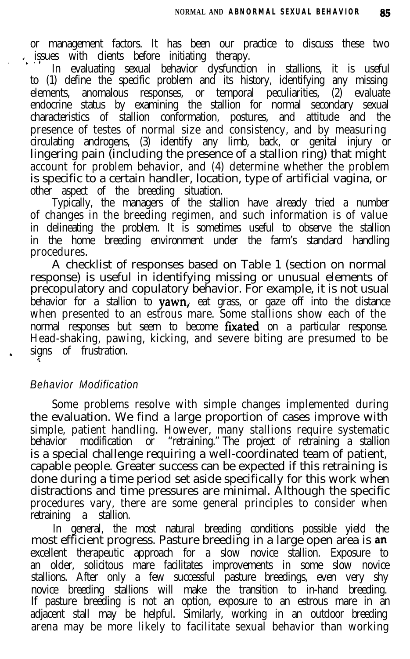or management factors. It has been our practice to discuss these two

issues with clients before initiating therapy.<br>In evaluating sexual behavior dysfunction in stallions, it is useful to (1) define the specific problem and its history, identifying any missing elements, anomalous responses, or temporal peculiarities, (2) evaluate endocrine status by examining the stallion for normal secondary sexual characteristics of stallion conformation, postures, and attitude and the presence of testes of normal size and consistency, and by measuring circulating androgens, (3) identify any limb, back, or genital injury or lingering pain (including the presence of a stallion ring) that might account for problem behavior, and (4) determine whether the problem is specific to a certain handler, location, type of artificial vagina, or other aspect of the breeding situation.

Typically, the managers of the stallion have already tried a number of changes in the breeding regimen, and such information is of value in delineating the problem. It is sometimes useful to observe the stallion in the home breeding environment under the farm's standard handling procedures.

A checklist of responses based on Table 1 (section on normal response) is useful in identifying missing or unusual elements of precopulatory and copulatory behavior. For example, it is not usual behavior for a stallion to  $yawn$ , eat grass, or gaze off into the distance when presented to an estrous mare. Some stallions show each of the normal responses but seem to become **fixated** on a particular response. Head-shaking, pawing, kicking, and severe biting are presumed to be signs of frustration.

## *Behavior Modification*

z.

Some problems resolve with simple changes implemented during the evaluation. We find a large proportion of cases improve with simple, patient handling. However, many stallions require systematic<br>behavior modification or "retraining." The project of retraining a stallion modification or "retraining." The project of retraining a stallion is a special challenge requiring a well-coordinated team of patient, capable people. Greater success can be expected if this retraining is done during a time period set aside specifically for this work when distractions and time pressures are minimal. Although the specific procedures vary, there are some general principles to consider when retraining a stallion.

In general, the most natural breeding conditions possible yield the most efficient progress. Pasture breeding in a large open area is an excellent therapeutic approach for a slow novice stallion. Exposure to an older, solicitous mare facilitates improvements in some slow novice stallions. After only a few successful pasture breedings, even very shy novice breeding stallions will make the transition to in-hand breeding. If pasture breeding is not an option, exposure to an estrous mare in an adjacent stall may be helpful. Similarly, working in an outdoor breeding arena may be more likely to facilitate sexual behavior than working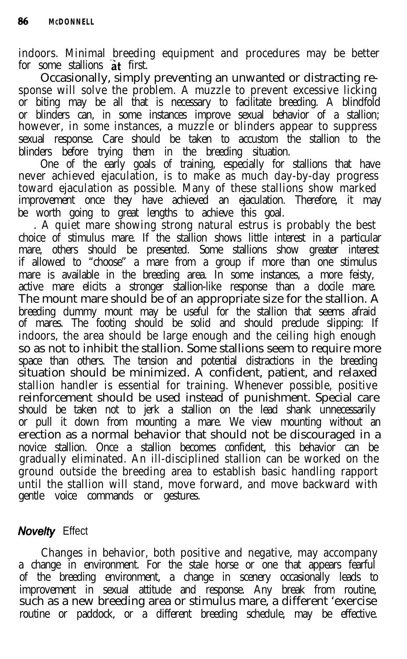indoors. Minimal breeding equipment and procedures may be better for some stallions at first.

Occasionally, simply preventing an unwanted or distracting response will solve the problem. A muzzle to prevent excessive licking or biting may be all that is necessary to facilitate breeding. A blindfold or blinders can, in some instances improve sexual behavior of a stallion; however, in some instances, a muzzle or blinders appear to suppress sexual response. Care should be taken to accustom the stallion to the blinders before trying them in the breeding situation.

One of the early goals of training, especially for stallions that have never achieved ejaculation, is to make as much day-by-day progress toward ejaculation as possible. Many of these stallions show marked improvement once they have achieved an ejaculation. Therefore, it may be worth going to great lengths to achieve this goal.

. A quiet mare showing strong natural estrus is probably the best choice of stimulus mare. If the stallion shows little interest in a particular mare, others should be presented. Some stallions show greater interest if allowed to "choose" a mare from a group if more than one stimulus mare is available in the breeding area. In some instances, a more feisty, active mare elicits a stronger stallion-like response than a docile mare. The mount mare should be of an appropriate size for the stallion. A breeding dummy mount may be useful for the stallion that seems afraid of mares. The footing should be solid and should preclude slipping: If indoors, the area should be large enough and the ceiling high enough so as not to inhibit the stallion. Some stallions seem to require more space than others. The tension and potential distractions in the breeding situation should be minimized. A confident, patient, and relaxed stallion handler is essential for training. Whenever possible, positive reinforcement should be used instead of punishment. Special care should be taken not to jerk a stallion on the lead shank unnecessarily or pull it down from mounting a mare. We view mounting without an erection as a normal behavior that should not be discouraged in a novice stallion. Once a stallion becomes confident, this behavior can be gradually eliminated. An ill-disciplined stallion can be worked on the ground outside the breeding area to establish basic handling rapport until the stallion will stand, move forward, and move backward with gentle voice commands or gestures.

# **Novelty** Effect

Changes in behavior, both positive and negative, may accompany a change in environment. For the stale horse or one that appears fearful of the breeding environment, a change in scenery occasionally leads to improvement in sexual attitude and response. Any break from routine, such as a new breeding area or stimulus mare, a different 'exercise routine or paddock, or a different breeding schedule, may be effective.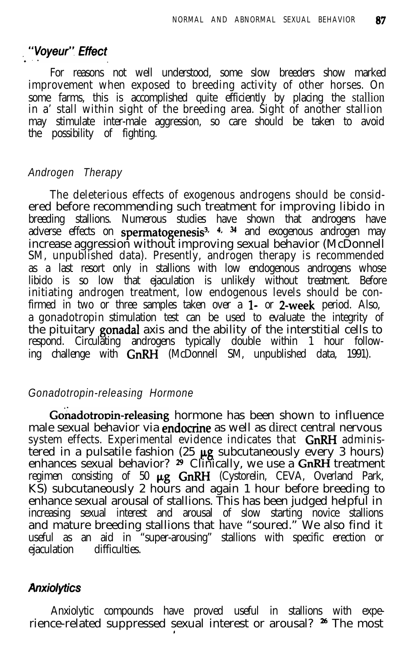#### "Voyeur" Effect

For reasons not well understood, some slow breeders show marked improvement when exposed to breeding activity of other horses. On some farms, this is accomplished quite efficiently by placing the stallion in a' stall within sight of the breeding area. Sight of another stallion may stimulate inter-male aggression, so care should be taken to avoid the possibility of fighting.

#### *Androgen Therapy*

The deleterious effects of exogenous androgens should be considered before recommending such treatment for improving libido in breeding stallions. Numerous studies have shown that androgens have adverse effects on **spermatogenesis<sup>3, 4, 34</mark> an**d exogenous androgen may</sup> increase aggression without improving sexual behavior (McDonnell SM, unpublished data). Presently, androgen therapy is recommended as a last resort only in stallions with low endogenous androgens whose libido is so low that ejaculation is unlikely without treatment. Before initiating androgen treatment, low endogenous levels should be confirmed in two or three samples taken over a 1- or 2-week period. Also, a gonadotropin stimulation test can be used to evaluate the integrity of the pituitary gonadal axis and the ability of the interstitial cells to respond. Circulating androgens typically double within 1 hour following challenge with  $GnRH$  (McDonnell SM, unpublished data, 1991).

#### *Gonadotropin-releasing Hormone*

Gonadotropin-releasing hormone has been shown to influence male sexual behavior via **endocrine** as well as direct central nervous system effects. Experimental evidence indicates that GnRH administered in a pulsatile fashion (25  $\mu$ g subcutaneously every 3 hours) enhances sexual behavior?  $2^{\circ}$  Clinically, we use a GnRH treatment regimen consisting of 50  $\mu$ g GnRH (Cystorelin, CEVA, Overland Park, KS) subcutaneously 2 hours and again 1 hour before breeding to enhance sexual arousal of stallions. This has been judged helpful in increasing sexual interest and arousal of slow starting novice stallions and mature breeding stallions that have "soured." We also find it useful as an aid in "super-arousing" stallions with specific erection or ejaculation difficulties.

#### *Anxiolytics*

Anxiolytic compounds have proved useful in stallions with experience-related suppressed sexual interest or arousal? <sup>26</sup> The most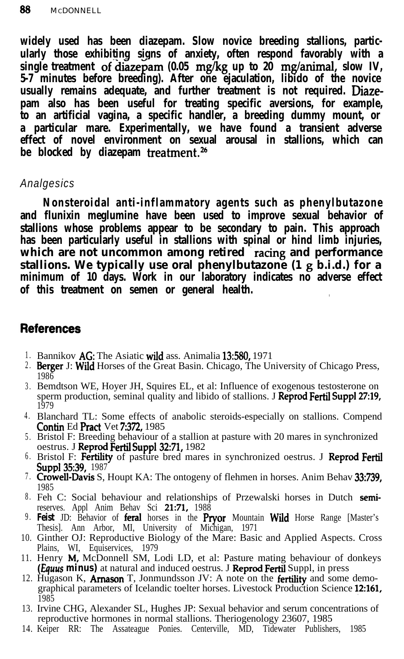**widely used has been diazepam. Slow novice breeding stallions, particularly those exhibiting signs of anxiety, often respond favorably with a** single treatment of diazepam (0.05 mg/kg up to 20 mg/animal, slow IV, **5-7 minutes before breeding). After one ejaculation, libido of the novice usually remains adequate, and further treatment is not required. Diazepam also has been useful for treating specific aversions, for example, to an artificial vagina, a specific handler, a breeding dummy mount, or a particular mare. Experimentally, we have found a transient adverse effect of novel environment on sexual arousal in stallions, which can be blocked by diazepam treatment.26**

## *Analgesics*

**Nonsteroidal anti-inflammatory agents such as phenylbutazone and flunixin meglumine have been used to improve sexual behavior of stallions whose problems appear to be secondary to pain. This approach has been particularly useful in stallions with spinal or hind limb injuries,** which are not uncommon among retired racing and performance **stallions. We typically use oral phenylbutazone (1 g b.i.d.) for a minimum of 10 days. Work in our laboratory indicates no adverse effect of this treatment on semen or general health.**

## **References**

- 1. Bannikov AG: The Asiatic wild ass. Animalia 13:580, 1971
- 2. Berger J: Wild Horses of the Great Basin. Chicago, The University of Chicago Press, 1986
- 3 . Bemdtson WE, Hoyer JH, Squires EL, et al: Influence of exogenous testosterone on sperm production, seminal quality and libido of stallions. J **Reprod Fertil Suppl 27:19,** 1979
- 4 . Blanchard TL: Some effects of anabolic steroids-especially on stallions. Compend Contin Ed Pract Vet 7:372, 1985
- 5 . Bristol F: Breeding behaviour of a stallion at pasture with 20 mares in synchronized oestrus. J Reprod Fertil Suppl 32:71, 1982
- <sup>6.</sup> Bristol F: Fertility of pasture bred mares in synchronized oestrus. J Reprod Fertil Suppl 35:39, 1987
- 7. Crowell-Davis S, Houpt KA: The ontogeny of flehmen in horses. Anim Behav 33:739, 1985
- 8. Feh C: Social behaviour and relationships of Przewalski horses in Dutch semi reserves. Appl Anim Behav Sci 21:71, 1988
- 9 . **Feist** JD: Behavior of feral horses in the Pryor Mountain Wild Horse Range [Master's Thesis]. Ann Arbor, MI, University of Michigan, 1971
- 10. Ginther OJ: Reproductive Biology of the Mare: Basic and Applied Aspects. Cross
- 11. Plains, WI, Equiservices, 1979<br>Henry **M,** McDonnell SM, Lodi LD, et al: Pasture mating behaviour of donkeys *(Equus minus)* at natural and induced oestrus. J **Reprod Fertil** Suppl, in press
- 12. Hugason K, **Arnason** T, Jonmundsson JV: A note on the **fertility** and some demographical parameters of Icelandic toelter horses. Livestock Production Science 12:161,<br>1985  $1985$
- 13. Irvine CHG, Alexander SL, Hughes JP: Sexual behavior and serum concentrations of reproductive hormones in normal stallions. Theriogenology 23607, 1985
- 14. Keiper RR: The Assateague Ponies. Centerville, MD, Tidewater Publishers, 1985